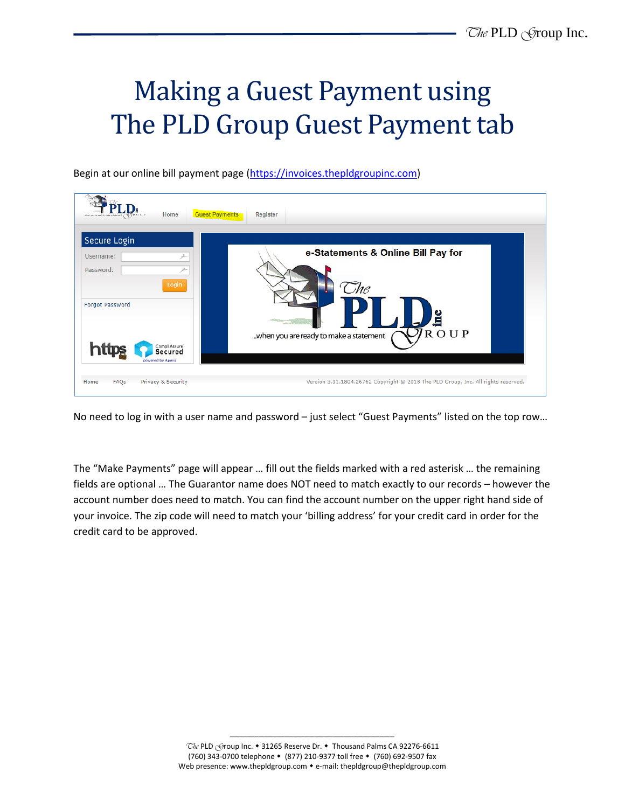## Making a Guest Payment using The PLD Group Guest Payment tab

Begin at our online bill payment page [\(https://invoices.thepldgroupinc.com\)](https://invoices.thepldgroupinc.com/)

| <b>Guest Payments</b><br>Home<br>Secure Login             | Register                                                     |
|-----------------------------------------------------------|--------------------------------------------------------------|
| Username:                                                 | e-Statements & Online Bill Pay for                           |
| Password:<br>Login<br>Forgot Password                     | 1C                                                           |
|                                                           | <u>inc</u><br>ROUP<br>when you are ready to make a statement |
| CompliAssure <sup>-</sup><br>Secured<br>powered by Aperia |                                                              |

No need to log in with a user name and password – just select "Guest Payments" listed on the top row…

The "Make Payments" page will appear … fill out the fields marked with a red asterisk … the remaining fields are optional … The Guarantor name does NOT need to match exactly to our records – however the account number does need to match. You can find the account number on the upper right hand side of your invoice. The zip code will need to match your 'billing address' for your credit card in order for the credit card to be approved.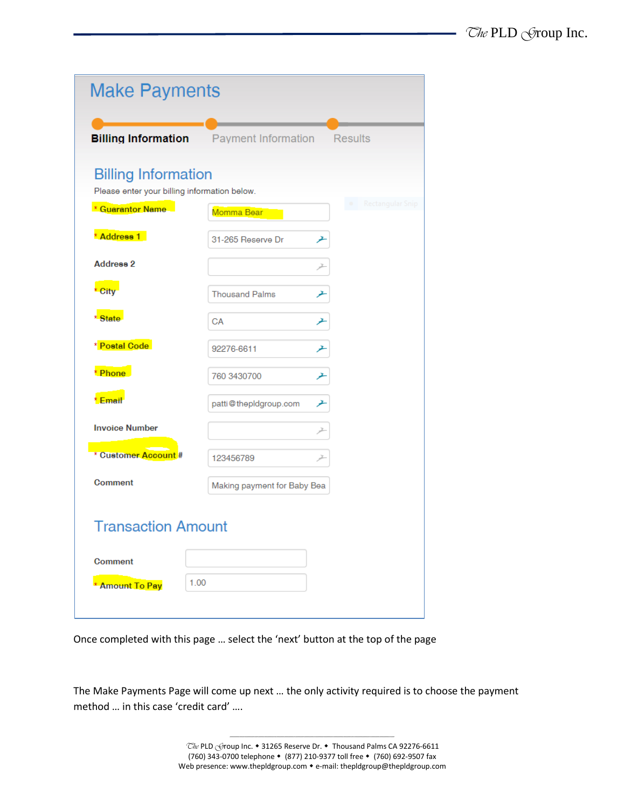| <b>Make Payments</b>                                                       |                             |                  |
|----------------------------------------------------------------------------|-----------------------------|------------------|
| <b>Billing Information</b>                                                 | <b>Payment Information</b>  | <b>Results</b>   |
| <b>Billing Information</b><br>Please enter your billing information below. |                             |                  |
| * Guarantor Name                                                           | Momma Bear                  | Rectangular Snip |
| * Address 1                                                                | 31-265 Reserve Dr           | ≁                |
| <b>Address 2</b>                                                           |                             | Z.               |
| * City                                                                     | <b>Thousand Palms</b>       | ≁                |
| * State                                                                    | CA                          | ⊁                |
| * Postal Code                                                              | 92276-6611                  | ≁                |
| * Phone                                                                    | 760 3430700                 | ≁                |
| * Email                                                                    | patti@thepIdgroup.com       | ≁                |
| <b>Invoice Number</b>                                                      |                             | ≠                |
| * Customer Account #                                                       | 123456789                   | ≠                |
| <b>Comment</b>                                                             | Making payment for Baby Bea |                  |
| Transaction Amount                                                         |                             |                  |
| <b>Comment</b>                                                             |                             |                  |
| 1.00<br><b>Amount To Pay</b>                                               |                             |                  |
|                                                                            |                             |                  |

Once completed with this page … select the 'next' button at the top of the page

The Make Payments Page will come up next … the only activity required is to choose the payment method … in this case 'credit card' ….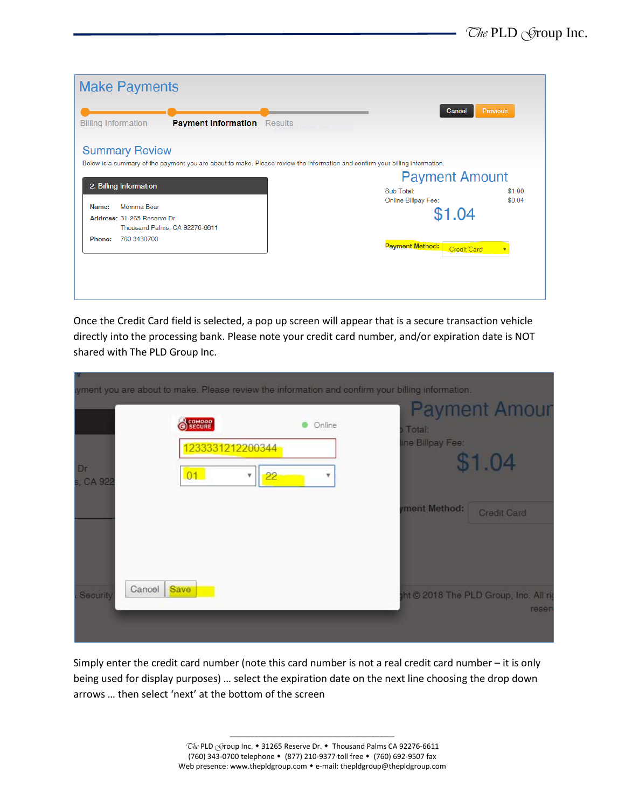

Once the Credit Card field is selected, a pop up screen will appear that is a secure transaction vehicle directly into the processing bank. Please note your credit card number, and/or expiration date is NOT shared with The PLD Group Inc.

|                    | COMODO                      | Online | Total:          | <b>Payment Amour</b>                            |
|--------------------|-----------------------------|--------|-----------------|-------------------------------------------------|
| Đr<br>s, CA 922    | 1233331212200344<br>01<br>▼ | 22     | ne Billpay Fee: | \$1.04                                          |
|                    |                             |        | ment Method:    | Credit Card                                     |
| Cancel<br>Security | Save                        |        |                 | tht © 2018 The PLD Group, Inc. All rig<br>reser |

Simply enter the credit card number (note this card number is not a real credit card number – it is only being used for display purposes) … select the expiration date on the next line choosing the drop down arrows … then select 'next' at the bottom of the screen

-------------------------------------------------------------------------------------------------------------------------------------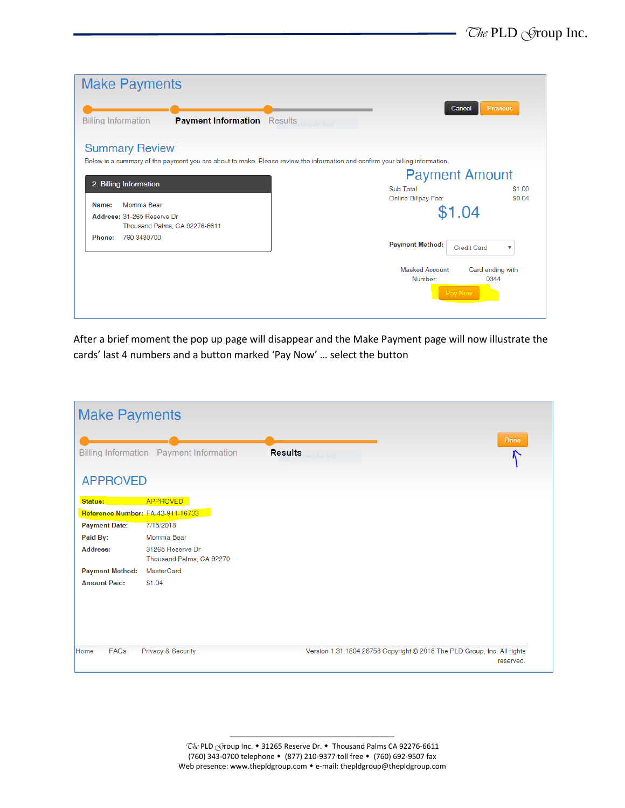| <b>Make Payments</b>                                                                                                                                  |                                   |                                     |                           |  |
|-------------------------------------------------------------------------------------------------------------------------------------------------------|-----------------------------------|-------------------------------------|---------------------------|--|
| <b>Billing Information</b><br><b>Payment Information</b> Results <b>Reserves Section guilar Snip</b>                                                  |                                   | Cancel                              | Previous                  |  |
| <b>Summary Review</b><br>Below is a summary of the payment you are about to make. Please review the information and confirm your billing information. |                                   |                                     |                           |  |
| 2. Billing Information                                                                                                                                | Sub Total:<br>Online Billpay Fee: | <b>Payment Amount</b>               | \$1.00<br>\$0.04          |  |
| Momma Bear<br>Name:<br>Address: 31-265 Reserve Dr<br>Thousand Palms, CA 92276-6611                                                                    |                                   | \$1.04                              |                           |  |
| 760 3430700<br>Phone:                                                                                                                                 | <b>Payment Method:</b>            | <b>Credit Card</b>                  | $\boldsymbol{\mathrm{v}}$ |  |
|                                                                                                                                                       | Masked Account<br>Number:         | Card ending with<br>0344<br>Pay Now |                           |  |

After a brief moment the pop up page will disappear and the Make Payment page will now illustrate the cards' last 4 numbers and a button marked 'Pay Now' … select the button

| <b>Make Payments</b>                         |                                              |                                                                         |           |
|----------------------------------------------|----------------------------------------------|-------------------------------------------------------------------------|-----------|
|                                              | Billing Information  Payment Information     | <b>Results</b> trangular Snip                                           | Done      |
| <b>APPROVED</b>                              |                                              |                                                                         |           |
| Status:<br>Reference Number: FA-43-911-16733 | <b>APPROVED</b>                              |                                                                         |           |
| <b>Payment Date:</b>                         | 7/15/2018                                    |                                                                         |           |
| Paid By:                                     | Momma Bear                                   |                                                                         |           |
| Address:                                     | 31265 Reserve Dr<br>Thousand Palms, CA 92270 |                                                                         |           |
| <b>Payment Method:</b>                       | <b>MasterCard</b>                            |                                                                         |           |
| <b>Amount Paid:</b>                          | \$1.04                                       |                                                                         |           |
| FAQs<br>Home                                 | Privacy & Security                           |                                                                         |           |
|                                              |                                              | Version 1.31.1804.26758 Copyright © 2018 The PLD Group, Inc. All rights | reserved. |